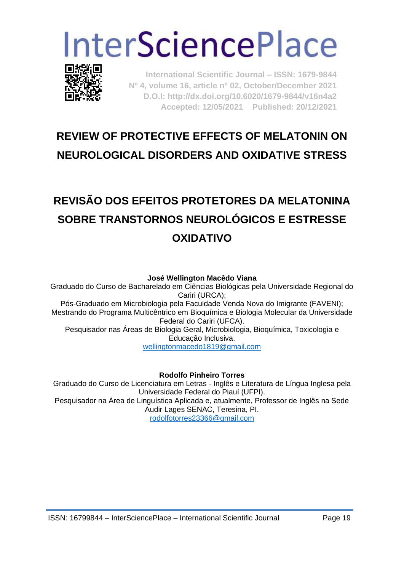# **InterSciencePlace**



**International Scientific Journal – ISSN: 1679-9844 Nº 4, volume 16, article nº 02, October/December 2021 D.O.I: http://dx.doi.org/10.6020/1679-9844/v16n4a2 Accepted: 12/05/2021 Published: 20/12/2021** 

## **REVIEW OF PROTECTIVE EFFECTS OF MELATONIN ON NEUROLOGICAL DISORDERS AND OXIDATIVE STRESS**

# **REVISÃO DOS EFEITOS PROTETORES DA MELATONINA SOBRE TRANSTORNOS NEUROLÓGICOS E ESTRESSE OXIDATIVO**

**José Wellington Macêdo Viana**

Graduado do Curso de Bacharelado em Ciências Biológicas pela Universidade Regional do Cariri (URCA); Pós-Graduado em Microbiologia pela Faculdade Venda Nova do Imigrante (FAVENI); Mestrando do Programa Multicêntrico em Bioquímica e Biologia Molecular da Universidade Federal do Cariri (UFCA). Pesquisador nas Áreas de Biologia Geral, Microbiologia, Bioquímica, Toxicologia e Educação Inclusiva. [wellingtonmacedo1819@gmail.com](mailto:wellingtonmacedo1819@gmail.com)

#### **Rodolfo Pinheiro Torres**

Graduado do Curso de Licenciatura em Letras - Inglês e Literatura de Língua Inglesa pela Universidade Federal do Piauí (UFPI). Pesquisador na Área de Linguística Aplicada e, atualmente, Professor de Inglês na Sede Audir Lages SENAC, Teresina, PI. [rodolfotorres23366@gmail.com](mailto:rodolfotorres23366@gmail.com)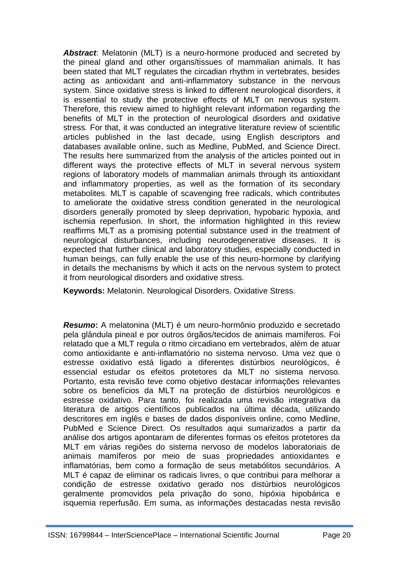*Abstract*: Melatonin (MLT) is a neuro-hormone produced and secreted by the pineal gland and other organs/tissues of mammalian animals. It has been stated that MLT regulates the circadian rhythm in vertebrates, besides acting as antioxidant and anti-inflammatory substance in the nervous system. Since oxidative stress is linked to different neurological disorders, it is essential to study the protective effects of MLT on nervous system. Therefore, this review aimed to highlight relevant information regarding the benefits of MLT in the protection of neurological disorders and oxidative stress. For that, it was conducted an integrative literature review of scientific articles published in the last decade, using English descriptors and databases available online, such as Medline, PubMed, and Science Direct. The results here summarized from the analysis of the articles pointed out in different ways the protective effects of MLT in several nervous system regions of laboratory models of mammalian animals through its antioxidant and inflammatory properties, as well as the formation of its secondary metabolites. MLT is capable of scavenging free radicals, which contributes to ameliorate the oxidative stress condition generated in the neurological disorders generally promoted by sleep deprivation, hypobaric hypoxia, and ischemia reperfusion. In short, the information highlighted in this review reaffirms MLT as a promising potential substance used in the treatment of neurological disturbances, including neurodegenerative diseases. It is expected that further clinical and laboratory studies, especially conducted in human beings, can fully enable the use of this neuro-hormone by clarifying in details the mechanisms by which it acts on the nervous system to protect it from neurological disorders and oxidative stress.

**Keywords:** Melatonin. Neurological Disorders. Oxidative Stress.

*Resumo***:** A melatonina (MLT) é um neuro-hormônio produzido e secretado pela glândula pineal e por outros órgãos/tecidos de animais mamíferos. Foi relatado que a MLT regula o ritmo circadiano em vertebrados, além de atuar como antioxidante e anti-inflamatório no sistema nervoso. Uma vez que o estresse oxidativo está ligado a diferentes distúrbios neurológicos, é essencial estudar os efeitos protetores da MLT no sistema nervoso. Portanto, esta revisão teve como objetivo destacar informações relevantes sobre os benefícios da MLT na proteção de distúrbios neurológicos e estresse oxidativo. Para tanto, foi realizada uma revisão integrativa da literatura de artigos científicos publicados na última década, utilizando descritores em inglês e bases de dados disponíveis online, como Medline, PubMed e Science Direct. Os resultados aqui sumarizados a partir da análise dos artigos apontaram de diferentes formas os efeitos protetores da MLT em várias regiões do sistema nervoso de modelos laboratoriais de animais mamíferos por meio de suas propriedades antioxidantes e inflamatórias, bem como a formação de seus metabólitos secundários. A MLT é capaz de eliminar os radicais livres, o que contribui para melhorar a condição de estresse oxidativo gerado nos distúrbios neurológicos geralmente promovidos pela privação do sono, hipóxia hipobárica e isquemia reperfusão. Em suma, as informações destacadas nesta revisão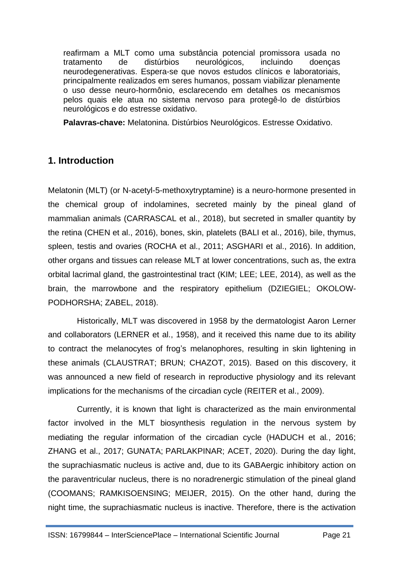reafirmam a MLT como uma substância potencial promissora usada no tratamento de distúrbios neurológicos, incluindo doenças neurodegenerativas. Espera-se que novos estudos clínicos e laboratoriais, principalmente realizados em seres humanos, possam viabilizar plenamente o uso desse neuro-hormônio, esclarecendo em detalhes os mecanismos pelos quais ele atua no sistema nervoso para protegê-lo de distúrbios neurológicos e do estresse oxidativo.

**Palavras-chave:** Melatonina. Distúrbios Neurológicos. Estresse Oxidativo.

### **1. Introduction**

Melatonin (MLT) (or N-acetyl-5-methoxytryptamine) is a neuro-hormone presented in the chemical group of indolamines, secreted mainly by the pineal gland of mammalian animals (CARRASCAL et al., 2018), but secreted in smaller quantity by the retina (CHEN et al., 2016), bones, skin, platelets (BALI et al., 2016), bile, thymus, spleen, testis and ovaries (ROCHA et al., 2011; ASGHARI et al., 2016). In addition, other organs and tissues can release MLT at lower concentrations, such as, the extra orbital lacrimal gland, the gastrointestinal tract (KIM; LEE; LEE, 2014), as well as the brain, the marrowbone and the respiratory epithelium (DZIEGIEL; OKOLOW-PODHORSHA; ZABEL, 2018).

Historically, MLT was discovered in 1958 by the dermatologist Aaron Lerner and collaborators (LERNER et al., 1958), and it received this name due to its ability to contract the melanocytes of frog's melanophores, resulting in skin lightening in these animals (CLAUSTRAT; BRUN; CHAZOT, 2015). Based on this discovery, it was announced a new field of research in reproductive physiology and its relevant implications for the mechanisms of the circadian cycle (REITER et al., 2009).

Currently, it is known that light is characterized as the main environmental factor involved in the MLT biosynthesis regulation in the nervous system by mediating the regular information of the circadian cycle (HADUCH et al*.*, 2016; ZHANG et al., 2017; GUNATA; PARLAKPINAR; ACET, 2020). During the day light, the suprachiasmatic nucleus is active and, due to its GABAergic inhibitory action on the paraventricular nucleus, there is no noradrenergic stimulation of the pineal gland (COOMANS; RAMKISOENSING; MEIJER, 2015). On the other hand, during the night time, the suprachiasmatic nucleus is inactive. Therefore, there is the activation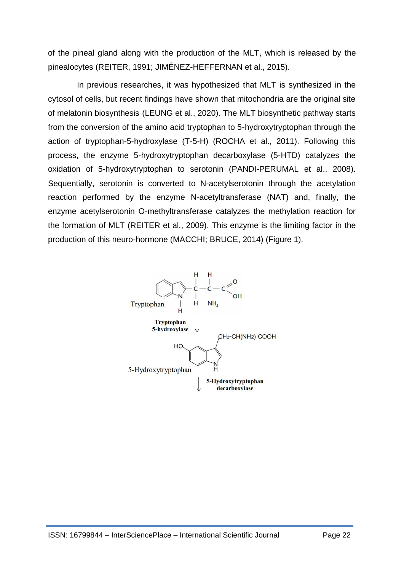of the pineal gland along with the production of the MLT, which is released by the pinealocytes (REITER, 1991; JIMÉNEZ-HEFFERNAN et al., 2015).

In previous researches, it was hypothesized that MLT is synthesized in the cytosol of cells, but recent findings have shown that mitochondria are the original site of melatonin biosynthesis (LEUNG et al., 2020). The MLT biosynthetic pathway starts from the conversion of the amino acid tryptophan to 5-hydroxytryptophan through the action of tryptophan-5-hydroxylase (T-5-H) (ROCHA et al., 2011). Following this process, the enzyme 5-hydroxytryptophan decarboxylase (5-HTD) catalyzes the oxidation of 5-hydroxytryptophan to serotonin (PANDI-PERUMAL et al., 2008). Sequentially, serotonin is converted to N-acetylserotonin through the acetylation reaction performed by the enzyme N-acetyltransferase (NAT) and, finally, the enzyme acetylserotonin O-methyltransferase catalyzes the methylation reaction for the formation of MLT (REITER et al., 2009). This enzyme is the limiting factor in the production of this neuro-hormone (MACCHI; BRUCE, 2014) (Figure 1).

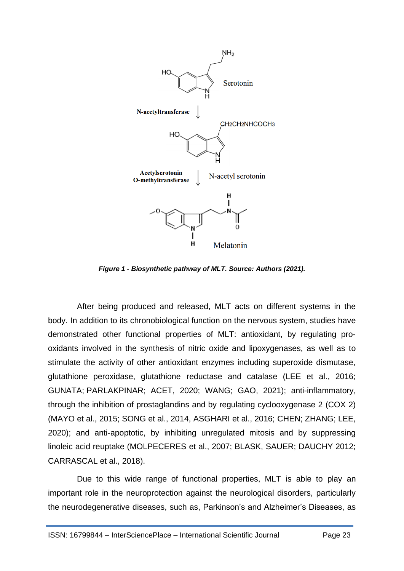

*Figure 1 - Biosynthetic pathway of MLT. Source: Authors (2021).*

After being produced and released, MLT acts on different systems in the body. In addition to its chronobiological function on the nervous system, studies have demonstrated other functional properties of MLT: antioxidant, by regulating prooxidants involved in the synthesis of nitric oxide and lipoxygenases, as well as to stimulate the activity of other antioxidant enzymes including superoxide dismutase, glutathione peroxidase, glutathione reductase and catalase (LEE et al., 2016; GUNATA; PARLAKPINAR; ACET, 2020; WANG; GAO, 2021); anti-inflammatory, through the inhibition of prostaglandins and by regulating cyclooxygenase 2 (COX 2) (MAYO et al., 2015; SONG et al., 2014, ASGHARI et al., 2016; CHEN; ZHANG; LEE, 2020); and anti-apoptotic, by inhibiting unregulated mitosis and by suppressing linoleic acid reuptake (MOLPECERES et al., 2007; BLASK, SAUER; DAUCHY 2012; CARRASCAL et al., 2018).

Due to this wide range of functional properties, MLT is able to play an important role in the neuroprotection against the neurological disorders, particularly the neurodegenerative diseases, such as, Parkinson's and Alzheimer's Diseases, as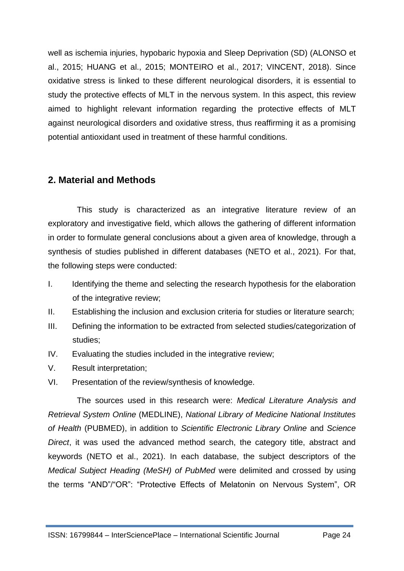well as ischemia injuries, hypobaric hypoxia and Sleep Deprivation (SD) (ALONSO et al., 2015; HUANG et al., 2015; MONTEIRO et al., 2017; VINCENT, 2018). Since oxidative stress is linked to these different neurological disorders, it is essential to study the protective effects of MLT in the nervous system. In this aspect, this review aimed to highlight relevant information regarding the protective effects of MLT against neurological disorders and oxidative stress, thus reaffirming it as a promising potential antioxidant used in treatment of these harmful conditions.

#### **2. Material and Methods**

This study is characterized as an integrative literature review of an exploratory and investigative field, which allows the gathering of different information in order to formulate general conclusions about a given area of knowledge, through a synthesis of studies published in different databases (NETO et al., 2021). For that, the following steps were conducted:

- I. Identifying the theme and selecting the research hypothesis for the elaboration of the integrative review;
- II. Establishing the inclusion and exclusion criteria for studies or literature search;
- III. Defining the information to be extracted from selected studies/categorization of studies;
- IV. Evaluating the studies included in the integrative review;
- V. Result interpretation;
- VI. Presentation of the review/synthesis of knowledge.

The sources used in this research were: *Medical Literature Analysis and Retrieval System Online* (MEDLINE), *National Library of Medicine National Institutes of Health* (PUBMED), in addition to *Scientific Electronic Library Online* and *Science Direct*, it was used the advanced method search, the category title, abstract and keywords (NETO et al., 2021). In each database, the subject descriptors of the *Medical Subject Heading (MeSH) of PubMed* were delimited and crossed by using the terms "AND"/"OR": "Protective Effects of Melatonin on Nervous System", OR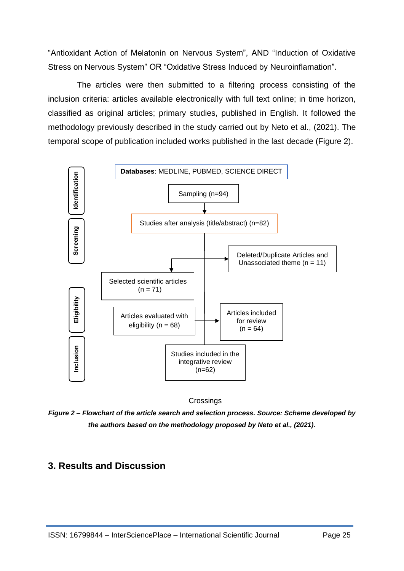"Antioxidant Action of Melatonin on Nervous System", AND "Induction of Oxidative Stress on Nervous System" OR "Oxidative Stress Induced by Neuroinflamation".

The articles were then submitted to a filtering process consisting of the inclusion criteria: articles available electronically with full text online; in time horizon, classified as original articles; primary studies, published in English. It followed the methodology previously described in the study carried out by Neto et al., (2021). The temporal scope of publication included works published in the last decade (Figure 2).



**Crossings** 

*Figure 2 – Flowchart of the article search and selection process. Source: Scheme developed by the authors based on the methodology proposed by Neto et al., (2021).*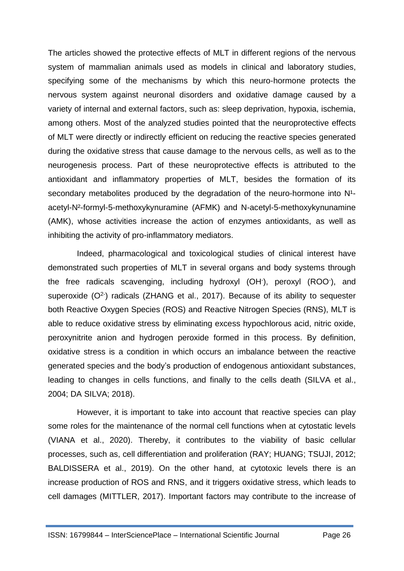The articles showed the protective effects of MLT in different regions of the nervous system of mammalian animals used as models in clinical and laboratory studies, specifying some of the mechanisms by which this neuro-hormone protects the nervous system against neuronal disorders and oxidative damage caused by a variety of internal and external factors, such as: sleep deprivation, hypoxia, ischemia, among others. Most of the analyzed studies pointed that the neuroprotective effects of MLT were directly or indirectly efficient on reducing the reactive species generated during the oxidative stress that cause damage to the nervous cells, as well as to the neurogenesis process. Part of these neuroprotective effects is attributed to the antioxidant and inflammatory properties of MLT, besides the formation of its secondary metabolites produced by the degradation of the neuro-hormone into  $N<sup>1</sup>$ acetyl-N²-formyl-5-methoxykynuramine (AFMK) and N-acetyl-5-methoxykynunamine (AMK), whose activities increase the action of enzymes antioxidants, as well as inhibiting the activity of pro-inflammatory mediators.

Indeed, pharmacological and toxicological studies of clinical interest have demonstrated such properties of MLT in several organs and body systems through the free radicals scavenging, including hydroxyl (OH- ), peroxyl (ROO- ), and superoxide  $(O<sup>2</sup>)$  radicals (ZHANG et al., 2017). Because of its ability to sequester both Reactive Oxygen Species (ROS) and Reactive Nitrogen Species (RNS), MLT is able to reduce oxidative stress by eliminating excess hypochlorous acid, nitric oxide, peroxynitrite anion and hydrogen peroxide formed in this process. By definition, oxidative stress is a condition in which occurs an imbalance between the reactive generated species and the body's production of endogenous antioxidant substances, leading to changes in cells functions, and finally to the cells death (SILVA et al., 2004; DA SILVA; 2018).

However, it is important to take into account that reactive species can play some roles for the maintenance of the normal cell functions when at cytostatic levels (VIANA et al., 2020). Thereby, it contributes to the viability of basic cellular processes, such as, cell differentiation and proliferation (RAY; [HUANG;](https://www.sciencedirect.com/science/article/abs/pii/S0898656812000137#!) [TSUJI,](https://www.sciencedirect.com/science/article/abs/pii/S0898656812000137#!) 2012; BALDISSERA et al., 2019). On the other hand, at cytotoxic levels there is an increase production of ROS and RNS, and it triggers oxidative stress, which leads to cell damages (MITTLER, 2017). Important factors may contribute to the increase of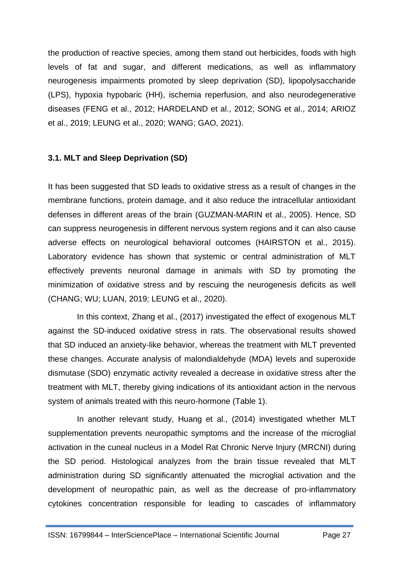the production of reactive species, among them stand out herbicides, foods with high levels of fat and sugar, and different medications, as well as inflammatory neurogenesis impairments promoted by sleep deprivation (SD), lipopolysaccharide (LPS), hypoxia hypobaric (HH), ischemia reperfusion, and also neurodegenerative diseases (FENG et al., 2012; HARDELAND et al., 2012; SONG et al., 2014; ARIOZ et al., 2019; LEUNG et al., 2020; WANG; GAO, 2021).

#### **3.1. MLT and Sleep Deprivation (SD)**

It has been suggested that SD leads to oxidative stress as a result of changes in the membrane functions, protein damage, and it also reduce the intracellular antioxidant defenses in different areas of the brain (GUZMAN-MARIN et al., 2005). Hence, SD can suppress neurogenesis in different nervous system regions and it can also cause adverse effects on neurological behavioral outcomes (HAIRSTON et al., 2015). Laboratory evidence has shown that systemic or central administration of MLT effectively prevents neuronal damage in animals with SD by promoting the minimization of oxidative stress and by rescuing the neurogenesis deficits as well (CHANG; WU; LUAN, 2019; LEUNG et al., 2020).

In this context, Zhang et al., (2017) investigated the effect of exogenous MLT against the SD-induced oxidative stress in rats. The observational results showed that SD induced an anxiety-like behavior, whereas the treatment with MLT prevented these changes. Accurate analysis of malondialdehyde (MDA) levels and superoxide dismutase (SDO) enzymatic activity revealed a decrease in oxidative stress after the treatment with MLT, thereby giving indications of its antioxidant action in the nervous system of animals treated with this neuro-hormone (Table 1).

In another relevant study, Huang et al., (2014) investigated whether MLT supplementation prevents neuropathic symptoms and the increase of the microglial activation in the cuneal nucleus in a Model Rat Chronic Nerve Injury (MRCNI) during the SD period. Histological analyzes from the brain tissue revealed that MLT administration during SD significantly attenuated the microglial activation and the development of neuropathic pain, as well as the decrease of pro-inflammatory cytokines concentration responsible for leading to cascades of inflammatory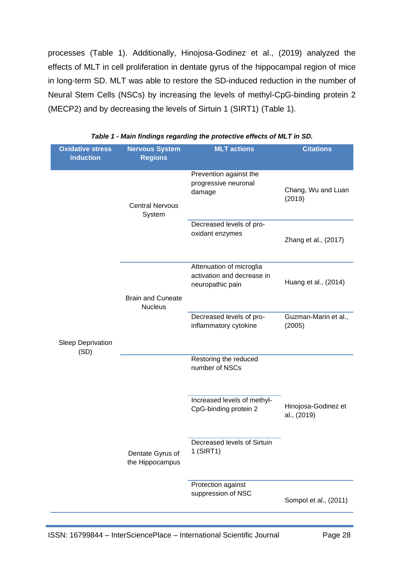processes (Table 1). Additionally, Hinojosa-Godinez et al., (2019) analyzed the effects of MLT in cell proliferation in dentate gyrus of the hippocampal region of mice in long-term SD. MLT was able to restore the SD-induced reduction in the number of Neural Stem Cells (NSCs) by increasing the levels of methyl-CpG-binding protein 2 (MECP2) and by decreasing the levels of Sirtuin 1 (SIRT1) (Table 1).

| <b>Oxidative stress</b>   | <b>Nervous System</b>               | <b>MLT</b> actions                                                         | <b>Citations</b>                   |
|---------------------------|-------------------------------------|----------------------------------------------------------------------------|------------------------------------|
| <b>induction</b>          | <b>Regions</b>                      |                                                                            |                                    |
|                           | <b>Central Nervous</b><br>System    | Prevention against the<br>progressive neuronal<br>damage                   | Chang, Wu and Luan<br>(2019)       |
|                           |                                     | Decreased levels of pro-<br>oxidant enzymes                                | Zhang et al., (2017)               |
|                           | <b>Brain and Cuneate</b>            | Attenuation of microglia<br>activation and decrease in<br>neuropathic pain | Huang et al., (2014)               |
| Sleep Deprivation<br>(SD) | <b>Nucleus</b>                      | Decreased levels of pro-<br>inflammatory cytokine                          | Guzman-Marin et al.,<br>(2005)     |
|                           |                                     | Restoring the reduced<br>number of NSCs                                    |                                    |
|                           |                                     | Increased levels of methyl-<br>CpG-binding protein 2                       | Hinojosa-Godinez et<br>al., (2019) |
|                           | Dentate Gyrus of<br>the Hippocampus | Decreased levels of Sirtuin<br>$1$ (SIRT1)                                 |                                    |
|                           |                                     | Protection against<br>suppression of NSC                                   | Sompol et al., (2011)              |

#### *Table 1 - Main findings regarding the protective effects of MLT in SD.*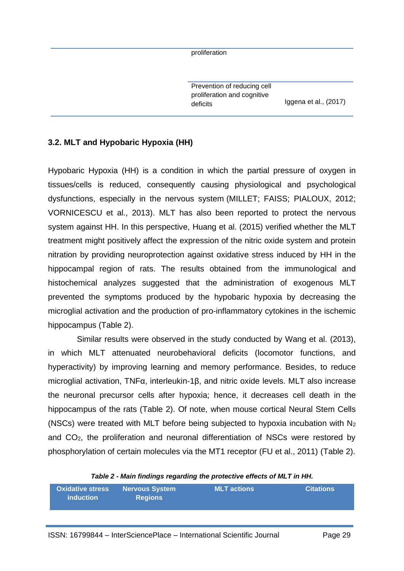proliferation

Prevention of reducing cell proliferation and cognitive deficits **Iggena** et al., (2017)

#### **3.2. MLT and Hypobaric Hypoxia (HH)**

Hypobaric Hypoxia (HH) is a condition in which the partial pressure of oxygen in tissues/cells is reduced, consequently causing physiological and psychological dysfunctions, especially in the nervous system (MILLET; FAISS; PIALOUX, 2012; VORNICESCU et al., 2013). MLT has also been reported to protect the nervous system against HH. In this perspective, Huang et al. (2015) verified whether the MLT treatment might positively affect the expression of the nitric oxide system and protein nitration by providing neuroprotection against oxidative stress induced by HH in the hippocampal region of rats. The results obtained from the immunological and histochemical analyzes suggested that the administration of exogenous MLT prevented the symptoms produced by the hypobaric hypoxia by decreasing the microglial activation and the production of pro-inflammatory cytokines in the ischemic hippocampus (Table 2).

Similar results were observed in the study conducted by Wang et al. (2013), in which MLT attenuated neurobehavioral deficits (locomotor functions, and hyperactivity) by improving learning and memory performance. Besides, to reduce microglial activation, TNFα, interleukin-1β, and nitric oxide levels. MLT also increase the neuronal precursor cells after hypoxia; hence, it decreases cell death in the hippocampus of the rats (Table 2). Of note, when mouse cortical Neural Stem Cells (NSCs) were treated with MLT before being subjected to hypoxia incubation with  $N_2$ and CO2, the proliferation and neuronal differentiation of NSCs were restored by phosphorylation of certain molecules via the MT1 receptor (FU et al., 2011) (Table 2).

#### *Table 2 - Main findings regarding the protective effects of MLT in HH.*

| <b>Oxidative stress</b> | <b>Nervous System</b> | $\blacksquare$ MLT actions $\blacksquare$ | <b>Citations</b> |
|-------------------------|-----------------------|-------------------------------------------|------------------|
| induction               | <b>Regions</b>        |                                           |                  |
|                         |                       |                                           |                  |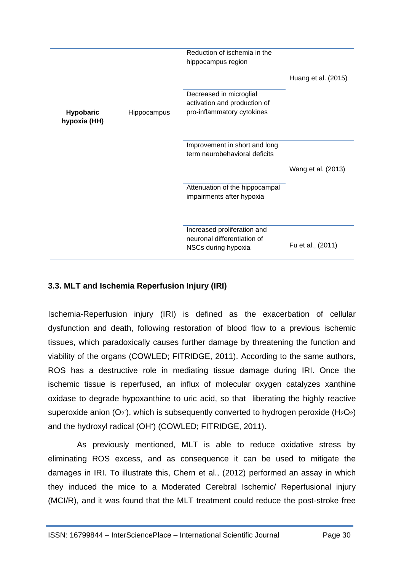|                                  |             | Reduction of ischemia in the<br>hippocampus region                                    |                     |
|----------------------------------|-------------|---------------------------------------------------------------------------------------|---------------------|
|                                  |             |                                                                                       | Huang et al. (2015) |
| <b>Hypobaric</b><br>hypoxia (HH) | Hippocampus | Decreased in microglial<br>activation and production of<br>pro-inflammatory cytokines |                     |
|                                  |             | Improvement in short and long<br>term neurobehavioral deficits                        |                     |
|                                  |             |                                                                                       | Wang et al. (2013)  |
|                                  |             | Attenuation of the hippocampal<br>impairments after hypoxia                           |                     |
|                                  |             | Increased proliferation and                                                           |                     |
|                                  |             | neuronal differentiation of<br>NSCs during hypoxia                                    | Fu et al., (2011)   |

#### **3.3. MLT and Ischemia Reperfusion Injury (IRI)**

Ischemia-Reperfusion injury (IRI) is defined as the exacerbation of cellular dysfunction and death, following restoration of blood flow to a previous ischemic tissues, which paradoxically causes further damage by threatening the function and viability of the organs (COWLED; FITRIDGE, 2011). According to the same authors, ROS has a destructive role in mediating tissue damage during IRI. Once the ischemic tissue is reperfused, an influx of molecular oxygen catalyzes xanthine oxidase to degrade hypoxanthine to uric acid, so that liberating the highly reactive superoxide anion  $(O_2)$ , which is subsequently converted to hydrogen peroxide  $(H_2O_2)$ and the hydroxyl radical (OH• ) (COWLED; FITRIDGE, 2011).

As previously mentioned, MLT is able to reduce oxidative stress by eliminating ROS excess, and as consequence it can be used to mitigate the damages in IRI. To illustrate this, Chern et al., (2012) performed an assay in which they induced the mice to a Moderated Cerebral Ischemic/ Reperfusional injury (MCI/R), and it was found that the MLT treatment could reduce the post-stroke free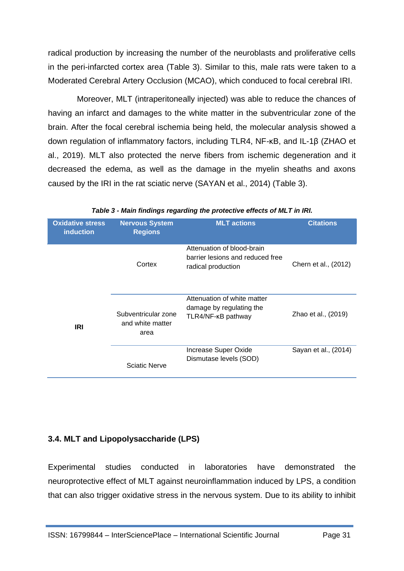radical production by increasing the number of the neuroblasts and proliferative cells in the peri-infarcted cortex area (Table 3). Similar to this, male rats were taken to a Moderated Cerebral Artery Occlusion (MCAO), which conduced to focal cerebral IRI.

Moreover, MLT (intraperitoneally injected) was able to reduce the chances of having an infarct and damages to the white matter in the subventricular zone of the brain. After the focal cerebral ischemia being held, the molecular analysis showed a down regulation of inflammatory factors, including TLR4, NF-κB, and IL-1β (ZHAO et al., 2019). MLT also protected the nerve fibers from ischemic degeneration and it decreased the edema, as well as the damage in the myelin sheaths and axons caused by the IRI in the rat sciatic nerve (SAYAN et al., 2014) (Table 3).

| <b>Oxidative stress</b><br><b>induction</b> | <b>Nervous System</b><br><b>Regions</b>         | <b>MLT</b> actions                                                                   | <b>Citations</b>     |
|---------------------------------------------|-------------------------------------------------|--------------------------------------------------------------------------------------|----------------------|
|                                             | Cortex                                          | Attenuation of blood-brain<br>barrier lesions and reduced free<br>radical production | Chern et al., (2012) |
| <b>IRI</b>                                  | Subventricular zone<br>and white matter<br>area | Attenuation of white matter<br>damage by regulating the<br>TLR4/NF-KB pathway        | Zhao et al., (2019)  |
|                                             | <b>Sciatic Nerve</b>                            | Increase Super Oxide<br>Dismutase levels (SOD)                                       | Sayan et al., (2014) |

*Table 3 - Main findings regarding the protective effects of MLT in IRI.*

#### **3.4. MLT and Lipopolysaccharide (LPS)**

Experimental studies conducted in laboratories have demonstrated the neuroprotective effect of MLT against neuroinflammation induced by LPS, a condition that can also trigger oxidative stress in the nervous system. Due to its ability to inhibit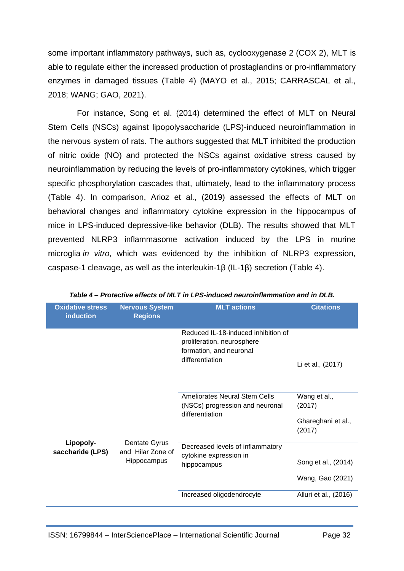some important inflammatory pathways, such as, cyclooxygenase 2 (COX 2), MLT is able to regulate either the increased production of prostaglandins or pro-inflammatory enzymes in damaged tissues (Table 4) (MAYO et al., 2015; CARRASCAL et al., 2018; WANG; GAO, 2021).

For instance, Song et al. (2014) determined the effect of MLT on Neural Stem Cells (NSCs) against lipopolysaccharide (LPS)-induced neuroinflammation in the nervous system of rats. The authors suggested that MLT inhibited the production of nitric oxide (NO) and protected the NSCs against oxidative stress caused by neuroinflammation by reducing the levels of pro-inflammatory cytokines, which trigger specific phosphorylation cascades that, ultimately, lead to the inflammatory process (Table 4). In comparison, Arioz et al., (2019) assessed the effects of MLT on behavioral changes and inflammatory cytokine expression in the hippocampus of mice in LPS-induced depressive-like behavior (DLB). The results showed that MLT prevented NLRP3 inflammasome activation induced by the LPS in murine microglia *in vitro*, which was evidenced by the inhibition of NLRP3 expression, caspase-1 cleavage, as well as the interleukin-1β (IL-1β) secretion (Table 4).

| <b>Oxidative stress</b><br><b>induction</b> | <b>Nervous System</b><br><b>Regions</b>                  | <b>MLT</b> actions                                                                           | <b>Citations</b>                                       |
|---------------------------------------------|----------------------------------------------------------|----------------------------------------------------------------------------------------------|--------------------------------------------------------|
|                                             |                                                          | Reduced IL-18-induced inhibition of<br>proliferation, neurosphere<br>formation, and neuronal |                                                        |
|                                             |                                                          | differentiation                                                                              | Li et al., (2017)                                      |
|                                             |                                                          | <b>Ameliorates Neural Stem Cells</b><br>(NSCs) progression and neuronal<br>differentiation   | Wang et al.,<br>(2017)<br>Ghareghani et al.,<br>(2017) |
| Lipopoly-<br>saccharide (LPS)               | Dentate Gyrus<br>and Hilar Zone of<br><b>Hippocampus</b> | Decreased levels of inflammatory<br>cytokine expression in<br>hippocampus                    | Song et al., (2014)<br>Wang, Gao (2021)                |
|                                             |                                                          | Increased oligodendrocyte                                                                    | Alluri et al., (2016)                                  |

*Table 4 – Protective effects of MLT in LPS-induced neuroinflammation and in DLB.*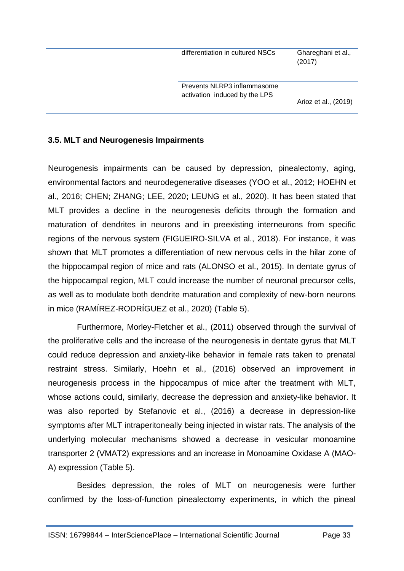differentiation in cultured NSCs Ghareghani et al.,

(2017)

Prevents NLRP3 inflammasome activation induced by the LPS

Arioz et al., (2019)

#### **3.5. MLT and Neurogenesis Impairments**

Neurogenesis impairments can be caused by depression, pinealectomy, aging, environmental factors and neurodegenerative diseases (YOO et al., 2012; HOEHN et al., 2016; CHEN; ZHANG; LEE, 2020; LEUNG et al., 2020). It has been stated that MLT provides a decline in the neurogenesis deficits through the formation and maturation of dendrites in neurons and in preexisting interneurons from specific regions of the nervous system (FIGUEIRO-SILVA et al., 2018). For instance, it was shown that MLT promotes a differentiation of new nervous cells in the hilar zone of the hippocampal region of mice and rats (ALONSO et al., 2015). In dentate gyrus of the hippocampal region, MLT could increase the number of neuronal precursor cells, as well as to modulate both dendrite maturation and complexity of new-born neurons in mice (RAMÍREZ-RODRÍGUEZ et al., 2020) (Table 5).

Furthermore, Morley-Fletcher et al., (2011) observed through the survival of the proliferative cells and the increase of the neurogenesis in dentate gyrus that MLT could reduce depression and anxiety-like behavior in female rats taken to prenatal restraint stress. Similarly, Hoehn et al., (2016) observed an improvement in neurogenesis process in the hippocampus of mice after the treatment with MLT, whose actions could, similarly, decrease the depression and anxiety-like behavior. It was also reported by Stefanovic et al., (2016) a decrease in depression-like symptoms after MLT intraperitoneally being injected in wistar rats. The analysis of the underlying molecular mechanisms showed a decrease in vesicular monoamine transporter 2 (VMAT2) expressions and an increase in Monoamine Oxidase A (MAO-A) expression (Table 5).

Besides depression, the roles of MLT on neurogenesis were further confirmed by the loss-of-function pinealectomy experiments, in which the pineal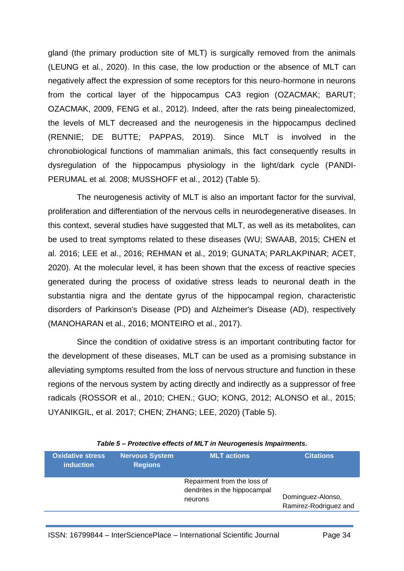gland (the primary production site of MLT) is surgically removed from the animals (LEUNG et al., 2020). In this case, the low production or the absence of MLT can negatively affect the expression of some receptors for this neuro-hormone in neurons from the cortical layer of the hippocampus CA3 region (OZACMAK; BARUT; OZACMAK, 2009, FENG et al., 2012). Indeed, after the rats being pinealectomized, the levels of MLT decreased and the neurogenesis in the hippocampus declined (RENNIE; DE BUTTE; PAPPAS, 2019). Since MLT is involved in the chronobiological functions of mammalian animals, this fact consequently results in dysregulation of the hippocampus physiology in the light/dark cycle (PANDI-PERUMAL et al. 2008; MUSSHOFF et al., 2012) (Table 5).

The neurogenesis activity of MLT is also an important factor for the survival, proliferation and differentiation of the nervous cells in neurodegenerative diseases. In this context, several studies have suggested that MLT, as well as its metabolites, can be used to treat symptoms related to these diseases (WU; SWAAB, 2015; CHEN et al. 2016; LEE et al., 2016; REHMAN et al., 2019; GUNATA; PARLAKPINAR; ACET, 2020). At the molecular level, it has been shown that the excess of reactive species generated during the process of oxidative stress leads to neuronal death in the substantia nigra and the dentate gyrus of the hippocampal region, characteristic disorders of Parkinson's Disease (PD) and Alzheimer's Disease (AD), respectively (MANOHARAN et al., 2016; MONTEIRO et al., 2017).

Since the condition of oxidative stress is an important contributing factor for the development of these diseases, MLT can be used as a promising substance in alleviating symptoms resulted from the loss of nervous structure and function in these regions of the nervous system by acting directly and indirectly as a suppressor of free radicals (ROSSOR et al., 2010; CHEN.; GUO; KONG, 2012; ALONSO et al., 2015; UYANIKGIL, et al. 2017; CHEN; ZHANG; LEE, 2020) (Table 5).

| <b>Oxidative stress</b><br><i>induction</i> | <b>Nervous System</b><br><b>Regions</b> | <b>MLT</b> actions                                                     | <b>Citations</b>                           |
|---------------------------------------------|-----------------------------------------|------------------------------------------------------------------------|--------------------------------------------|
|                                             |                                         | Repairment from the loss of<br>dendrites in the hippocampal<br>neurons | Dominguez-Alonso,<br>Ramirez-Rodriguez and |
|                                             |                                         |                                                                        |                                            |

#### *Table 5 – Protective effects of MLT in Neurogenesis Impairments.*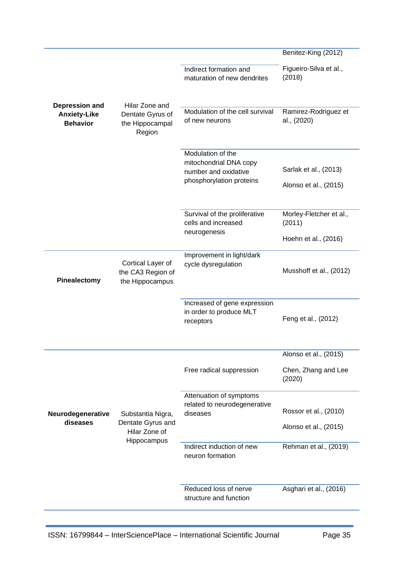|                                                          |                                                                 |                                                                                                 | Benitez-King (2012)                                       |
|----------------------------------------------------------|-----------------------------------------------------------------|-------------------------------------------------------------------------------------------------|-----------------------------------------------------------|
|                                                          |                                                                 | Indirect formation and<br>maturation of new dendrites                                           | Figueiro-Silva et al.,<br>(2018)                          |
| Depression and<br><b>Anxiety-Like</b><br><b>Behavior</b> | Hilar Zone and<br>Dentate Gyrus of<br>the Hippocampal<br>Region | Modulation of the cell survival<br>of new neurons                                               | Ramirez-Rodriguez et<br>al., (2020)                       |
|                                                          |                                                                 | Modulation of the<br>mitochondrial DNA copy<br>number and oxidative<br>phosphorylation proteins | Sarlak et al., (2013)<br>Alonso et al., (2015)            |
|                                                          |                                                                 | Survival of the proliferative<br>cells and increased<br>neurogenesis                            | Morley-Fletcher et al.,<br>(2011)<br>Hoehn et al., (2016) |
| <b>Pinealectomy</b>                                      | Cortical Layer of<br>the CA3 Region of<br>the Hippocampus       | Improvement in light/dark<br>cycle dysregulation                                                | Musshoff et al., (2012)                                   |
|                                                          |                                                                 | Increased of gene expression<br>in order to produce MLT<br>receptors                            | Feng et al., (2012)                                       |
|                                                          |                                                                 |                                                                                                 | Alonso et al., (2015)                                     |
|                                                          |                                                                 | Free radical suppression                                                                        | Chen, Zhang and Lee<br>(2020)                             |
| Neurodegenerative<br>diseases                            | Substantia Nigra,<br>Dentate Gyrus and<br>Hilar Zone of         | Attenuation of symptoms<br>related to neurodegenerative<br>diseases                             | Rossor et al., (2010)<br>Alonso et al., (2015)            |
|                                                          | Hippocampus                                                     | Indirect induction of new<br>neuron formation                                                   | Rehman et al., (2019)                                     |
|                                                          |                                                                 | Reduced loss of nerve<br>structure and function                                                 | Asghari et al., (2016)                                    |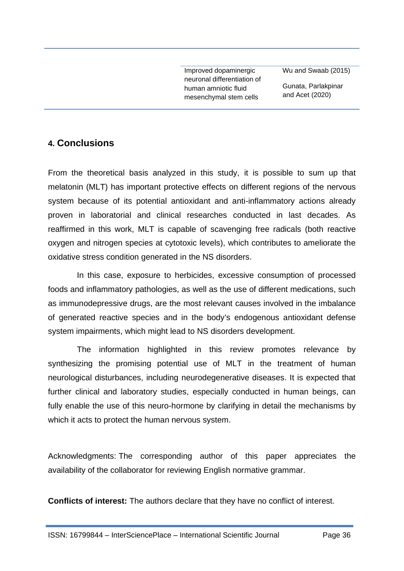Improved dopaminergic neuronal differentiation of human amniotic fluid mesenchymal stem cells

Wu and Swaab (2015)

Gunata, Parlakpinar and Acet (2020)

### **4. Conclusions**

From the theoretical basis analyzed in this study, it is possible to sum up that melatonin (MLT) has important protective effects on different regions of the nervous system because of its potential antioxidant and anti-inflammatory actions already proven in laboratorial and clinical researches conducted in last decades. As reaffirmed in this work, MLT is capable of scavenging free radicals (both reactive oxygen and nitrogen species at cytotoxic levels), which contributes to ameliorate the oxidative stress condition generated in the NS disorders.

In this case, exposure to herbicides, excessive consumption of processed foods and inflammatory pathologies, as well as the use of different medications, such as immunodepressive drugs, are the most relevant causes involved in the imbalance of generated reactive species and in the body's endogenous antioxidant defense system impairments, which might lead to NS disorders development.

The information highlighted in this review promotes relevance by synthesizing the promising potential use of MLT in the treatment of human neurological disturbances, including neurodegenerative diseases. It is expected that further clinical and laboratory studies, especially conducted in human beings, can fully enable the use of this neuro-hormone by clarifying in detail the mechanisms by which it acts to protect the human nervous system.

Acknowledgments: The corresponding author of this paper appreciates the availability of the collaborator for reviewing English normative grammar.

**Conflicts of interest:** The authors declare that they have no conflict of interest.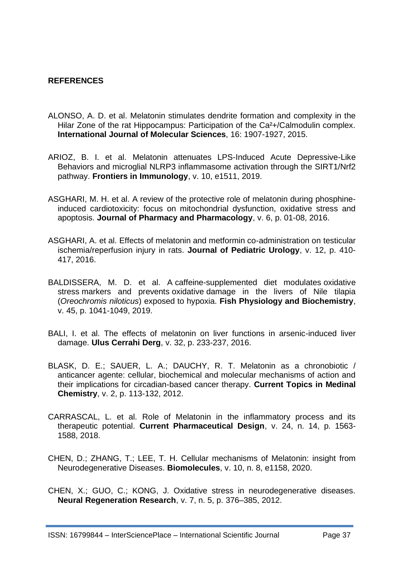#### **REFERENCES**

- ALONSO, A. D. et al. Melatonin stimulates dendrite formation and complexity in the Hilar Zone of the rat Hippocampus: Participation of the Ca<sup>2</sup>+/Calmodulin complex. **International Journal of Molecular Sciences**, 16: 1907-1927, 2015.
- ARIOZ, B. I. et al. Melatonin attenuates LPS-Induced Acute Depressive-Like Behaviors and microglial NLRP3 inflammasome activation through the SIRT1/Nrf2 pathway. **Frontiers in Immunology**, v. 10, e1511, 2019.
- ASGHARI, M. H. et al. A review of the protective role of melatonin during phosphineinduced cardiotoxicity: focus on mitochondrial dysfunction, oxidative stress and apoptosis. **Journal of Pharmacy and Pharmacology**, v. 6, p. 01-08, 2016.
- ASGHARI, A. et al. Effects of melatonin and metformin co-administration on testicular ischemia/reperfusion injury in rats. **Journal of Pediatric Urology**, v. 12, p. 410- 417, 2016.
- BALDISSERA, M. D. et al. A caffeine-supplemented diet modulates oxidative stress markers and prevents oxidative damage in the livers of Nile tilapia (*Oreochromis niloticus*) exposed to hypoxia. **Fish Physiology and Biochemistry**, v. 45, p. 1041-1049, 2019.
- BALI, I. et al. The effects of melatonin on liver functions in arsenic-induced liver damage. **Ulus Cerrahi Derg**, v. 32, p. 233-237, 2016.
- BLASK, D. E.; SAUER, L. A.; DAUCHY, R. T. Melatonin as a chronobiotic / anticancer agente: cellular, biochemical and molecular mechanisms of action and their implications for circadian-based cancer therapy. **Current Topics in Medinal Chemistry**, v. 2, p. 113-132, 2012.
- [CARRASCAL,](https://pubmed.ncbi.nlm.nih.gov/?term=Carrascal+L&cauthor_id=29701146) L. et al. Role of Melatonin in the inflammatory process and its therapeutic potential. **Current Pharmaceutical Design**, v. 24, n. 14, p. 1563- 1588, 2018.
- CHEN, D.; ZHANG, T.; LEE, T. H. Cellular mechanisms of Melatonin: insight from Neurodegenerative Diseases. **Biomolecules**, v. 10, n. 8, e1158, 2020.
- CHEN, X.; GUO, C.; KONG, J. Oxidative stress in neurodegenerative diseases. **Neural Regeneration Research**, v. 7, n. 5, p. 376–385, 2012.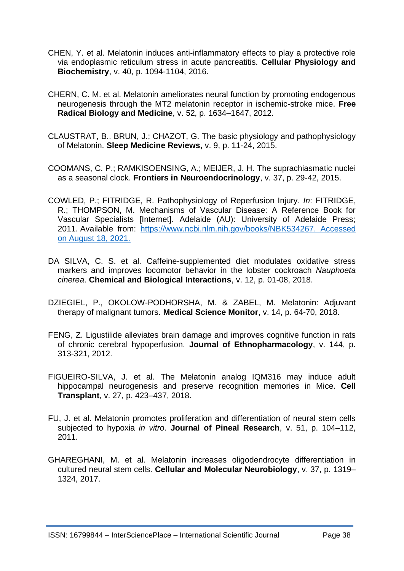- CHEN, Y. et al. Melatonin induces anti-inflammatory effects to play a protective role via endoplasmic reticulum stress in acute pancreatitis. **Cellular Physiology and Biochemistry**, v. 40, p. 1094-1104, 2016.
- CHERN, C. M. et al. Melatonin ameliorates neural function by promoting endogenous neurogenesis through the MT2 melatonin receptor in ischemic-stroke mice. **Free Radical Biology and Medicine**, v. 52, p. 1634–1647, 2012.
- CLAUSTRAT, B.. BRUN, J.; CHAZOT, G. The basic physiology and pathophysiology of Melatonin. **Sleep Medicine Reviews,** v. 9, p. 11-24, 2015.
- COOMANS, C. P.; RAMKISOENSING, A.; MEIJER, J. H. The suprachiasmatic nuclei as a seasonal clock. **Frontiers in Neuroendocrinology**, v. 37, p. 29-42, 2015.
- COWLED, P.; FITRIDGE, R. Pathophysiology of Reperfusion Injury. *In*: FITRIDGE, R.; THOMPSON, M. Mechanisms of Vascular Disease: A Reference Book for Vascular Specialists [Internet]. Adelaide (AU): University of Adelaide Press; 2011. Available from: [https://www.ncbi.nlm.nih.gov/books/NBK534267.](https://www.ncbi.nlm.nih.gov/books/NBK534267) Accessed on August 18, 2021.
- DA SILVA, C. S. et al. Caffeine-supplemented diet modulates oxidative stress markers and improves locomotor behavior in the lobster cockroach *Nauphoeta cinerea*. **Chemical and Biological Interactions**, v. 12, p. 01-08, 2018.
- DZIEGIEL, P., OKOLOW-PODHORSHA, M. & ZABEL, M. Melatonin: Adjuvant therapy of malignant tumors. **Medical Science Monitor**, v. 14, p. 64-70, 2018.
- FENG, Z. Ligustilide alleviates brain damage and improves cognitive function in rats of chronic cerebral hypoperfusion. **Journal of Ethnopharmacology**, v. 144, p. 313-321, 2012.
- FIGUEIRO-SILVA, J. et al. The Melatonin analog IQM316 may induce adult hippocampal neurogenesis and preserve recognition memories in Mice. **Cell Transplant**, v. 27, p. 423–437, 2018.
- FU, J. et al. Melatonin promotes proliferation and differentiation of neural stem cells subjected to hypoxia *in vitro*. **Journal of Pineal Research**, v. 51, p. 104–112, 2011.
- GHAREGHANI, M. et al. Melatonin increases oligodendrocyte differentiation in cultured neural stem cells. **Cellular and Molecular Neurobiology**, v. 37, p. 1319– 1324, 2017.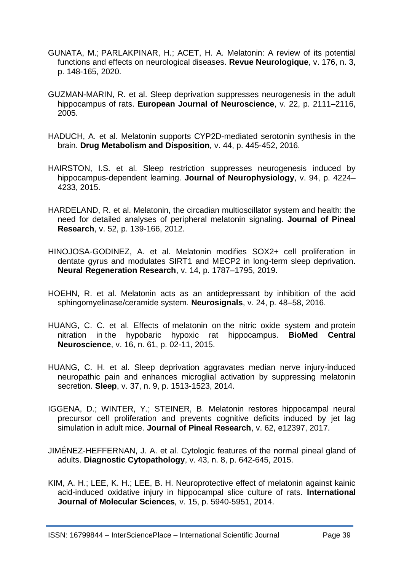- GUNATA, M.; PARLAKPINAR, H.; ACET, H. A. Melatonin: A review of its potential functions and effects on neurological diseases. **Revue Neurologique**, v. 176, n. 3, p. 148-165, 2020.
- GUZMAN-MARIN, R. et al. Sleep deprivation suppresses neurogenesis in the adult hippocampus of rats. **European Journal of Neuroscience**, v. 22, p. 2111–2116, 2005.
- HADUCH, A. et al. Melatonin supports CYP2D-mediated serotonin synthesis in the brain. **Drug Metabolism and Disposition***,* v. 44, p. 445-452, 2016.
- HAIRSTON, I.S. et al. Sleep restriction suppresses neurogenesis induced by hippocampus-dependent learning. **Journal of Neurophysiology**, v. 94, p. 4224– 4233, 2015.
- HARDELAND, R. et al. Melatonin, the circadian multioscillator system and health: the need for detailed analyses of peripheral melatonin signaling. **Journal of Pineal Research**, v. 52, p. 139-166, 2012.
- HINOJOSA-GODINEZ, A. et al. Melatonin modifies SOX2+ cell proliferation in dentate gyrus and modulates SIRT1 and MECP2 in long-term sleep deprivation. **Neural Regeneration Research**, v. 14, p. 1787–1795, 2019.
- HOEHN, R. et al. Melatonin acts as an antidepressant by inhibition of the acid sphingomyelinase/ceramide system. **Neurosignals**, v. 24, p. 48–58, 2016.
- HUANG, C. C. et al. Effects of melatonin on the nitric oxide system and protein nitration in the hypobaric hypoxic rat hippocampus. **BioMed Central Neuroscience**, v. 16, n. 61, p. 02-11, 2015.
- HUANG, C. H. et al. Sleep deprivation aggravates median nerve injury-induced neuropathic pain and enhances microglial activation by suppressing melatonin secretion. **Sleep**, v. 37, n. 9, p. 1513-1523, 2014.
- IGGENA, D.; WINTER, Y.; STEINER, B. Melatonin restores hippocampal neural precursor cell proliferation and prevents cognitive deficits induced by jet lag simulation in adult mice. **Journal of Pineal Research**, v. 62, e12397, 2017.
- JIMÉNEZ-HEFFERNAN, J. A. et al. Cytologic features of the normal pineal gland of adults. **Diagnostic Cytopathology**, v. 43, n. 8, p. 642-645, 2015.
- KIM, A. H.; LEE, K. H.; LEE, B. H. Neuroprotective effect of melatonin against kainic acid-induced oxidative injury in hippocampal slice culture of rats. **International Journal of Molecular Sciences***,* v. 15, p. 5940-5951, 2014.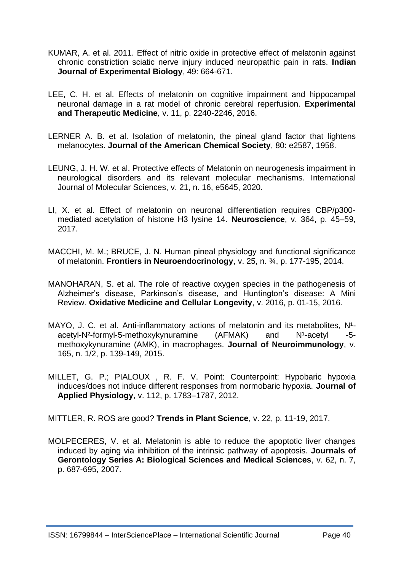- KUMAR, A. et al. 2011. Effect of nitric oxide in protective effect of melatonin against chronic constriction sciatic nerve injury induced neuropathic pain in rats. **Indian Journal of Experimental Biology**, 49: 664-671.
- LEE, C. H. et al. Effects of melatonin on cognitive impairment and hippocampal neuronal damage in a rat model of chronic cerebral reperfusion. **Experimental and Therapeutic Medicine***,* v. 11, p. 2240-2246, 2016.
- LERNER A. B. et al. Isolation of melatonin, the pineal gland factor that lightens melanocytes. **Journal of the American Chemical Society**, 80: e2587, 1958.
- LEUNG, J. H. W. et al. Protective effects of Melatonin on neurogenesis impairment in neurological disorders and its relevant molecular mechanisms. International Journal of Molecular Sciences, v. 21, n. 16, e5645, 2020.
- LI, X. et al. Effect of melatonin on neuronal differentiation requires CBP/p300 mediated acetylation of histone H3 lysine 14. **Neuroscience**, v. 364, p. 45–59, 2017.
- MACCHI, M. M.; BRUCE, J. N. Human pineal physiology and functional significance of melatonin. **Frontiers in Neuroendocrinology**, v. 25, n. ¾, p. 177-195, 2014.
- MANOHARAN, S. et al. The role of reactive oxygen species in the pathogenesis of Alzheimer's disease, Parkinson's disease, and Huntington's disease: A Mini Review. **Oxidative Medicine and Cellular Longevity**, v. 2016, p. 01-15, 2016.
- MAYO, J. C. et al. Anti-inflammatory actions of melatonin and its metabolites,  $N^1$ acetyl-N<sup>2</sup>-formyl-5-methoxykynuramine  $(AFMAX)$  and  $N^1$ -acetyl -5methoxykynuramine (AMK), in macrophages. **Journal of Neuroimmunology**, v. 165, n. 1/2, p. 139-149, 2015.
- MILLET, G. P.; PIALOUX , R. F. V. Point: Counterpoint: Hypobaric hypoxia induces/does not induce different responses from normobaric hypoxia. **Journal of Applied Physiology**, v. 112, p. 1783–1787, 2012.

MITTLER, R. ROS are good? **Trends in Plant Science**, v. 22, p. 11-19, 2017.

MOLPECERES, V. et al. Melatonin is able to reduce the apoptotic liver changes induced by aging via inhibition of the intrinsic pathway of apoptosis. **Journals of Gerontology Series A: Biological Sciences and Medical Sciences**, v. 62, n. 7, p. 687-695, 2007.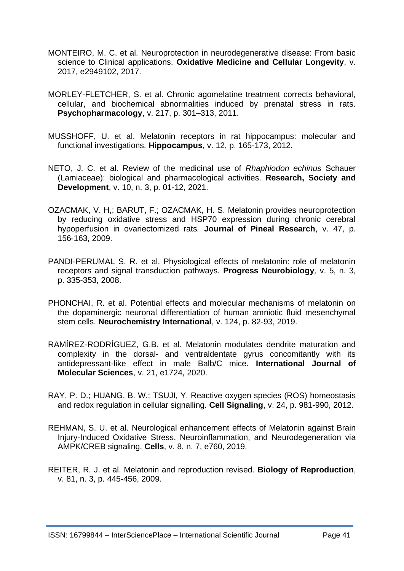- MONTEIRO, M. C. et al. Neuroprotection in neurodegenerative disease: From basic science to Clinical applications. **Oxidative Medicine and Cellular Longevity**, v. 2017, e2949102, 2017.
- MORLEY-FLETCHER, S. et al. Chronic agomelatine treatment corrects behavioral, cellular, and biochemical abnormalities induced by prenatal stress in rats. **Psychopharmacology**, v. 217, p. 301–313, 2011.
- MUSSHOFF, U. et al. Melatonin receptors in rat hippocampus: molecular and functional investigations. **Hippocampus**, v. 12, p. 165-173, 2012.
- NETO, J. C. et al. Review of the medicinal use of *Rhaphiodon echinus* Schauer (Lamiaceae): biological and pharmacological activities. **Research, Society and Development**, v. 10, n. 3, p. 01-12, 2021.
- OZACMAK, V. H,; BARUT, F.; OZACMAK, H. S. Melatonin provides neuroprotection by reducing oxidative stress and HSP70 expression during chronic cerebral hypoperfusion in ovariectomized rats*.* **Journal of Pineal Research**, v. 47, p. 156‑163, 2009.
- PANDI-PERUMAL S. R. et al. Physiological effects of melatonin: role of melatonin receptors and signal transduction pathways. **Progress Neurobiology***,* v. 5, n. 3, p. 335-353, 2008.
- PHONCHAI, R. et al. Potential effects and molecular mechanisms of melatonin on the dopaminergic neuronal differentiation of human amniotic fluid mesenchymal stem cells. **Neurochemistry International**, v. 124, p. 82-93, 2019.
- RAMÍREZ-RODRÍGUEZ, G.B. et al. Melatonin modulates dendrite maturation and complexity in the dorsal- and ventraldentate gyrus concomitantly with its antidepressant-like effect in male Balb/C mice. **International Journal of Molecular Sciences**, v. 21, e1724, 2020.
- [RAY,](https://www.sciencedirect.com/science/article/abs/pii/S0898656812000137#!) P. D.; [HUANG,](https://www.sciencedirect.com/science/article/abs/pii/S0898656812000137#!) B. W.; [TSUJI,](https://www.sciencedirect.com/science/article/abs/pii/S0898656812000137#!) Y. Reactive oxygen species (ROS) homeostasis and redox regulation in cellular signalling. **Cell Signaling**, v. 24, p. 981-990, 2012.
- REHMAN, S. U. et al. Neurological enhancement effects of Melatonin against Brain Injury-Induced Oxidative Stress, Neuroinflammation, and Neurodegeneration via AMPK/CREB signaling. **Cells**, v. 8, n. 7, e760, 2019.
- REITER, R. J. et al. Melatonin and reproduction revised. **Biology of Reproduction**, v. 81, n. 3, p. 445-456, 2009.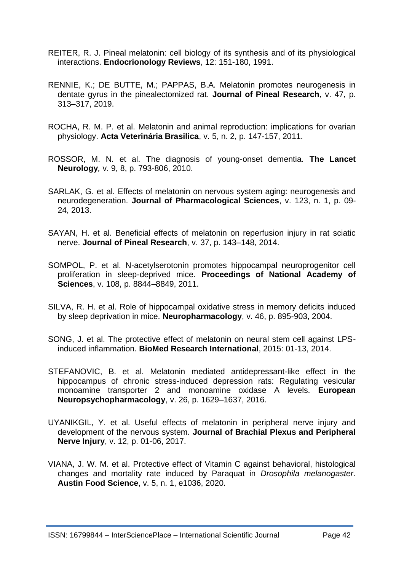- REITER, R. J. Pineal melatonin: cell biology of its synthesis and of its physiological interactions. **Endocrionology Reviews**, 12: 151-180, 1991.
- RENNIE, K.; DE BUTTE, M.; PAPPAS, B.A. Melatonin promotes neurogenesis in dentate gyrus in the pinealectomized rat. **Journal of Pineal Research**, v. 47, p. 313–317, 2019.
- ROCHA, R. M. P. et al. Melatonin and animal reproduction: implications for ovarian physiology. **Acta Veterinária Brasilica**, v. 5, n. 2, p. 147-157, 2011.
- ROSSOR, M. N. et al. The diagnosis of young-onset dementia. **The Lancet Neurology***,* v. 9, 8, p. 793-806, 2010.
- SARLAK, G. et al. Effects of melatonin on nervous system aging: neurogenesis and neurodegeneration. **Journal of Pharmacological Sciences**, v. 123, n. 1, p. 09- 24, 2013.
- SAYAN, H. et al. Beneficial effects of melatonin on reperfusion injury in rat sciatic nerve. **Journal of Pineal Research**, v. 37, p. 143–148, 2014.
- SOMPOL, P. et al. N-acetylserotonin promotes hippocampal neuroprogenitor cell proliferation in sleep-deprived mice. **Proceedings of National Academy of Sciences**, v. 108, p. 8844–8849, 2011.
- SILVA, R. H. et al. Role of hippocampal oxidative stress in memory deficits induced by sleep deprivation in mice. **Neuropharmacology**, v. 46, p. 895-903, 2004.
- SONG, J. et al. The protective effect of melatonin on neural stem cell against LPSinduced inflammation. **BioMed Research International**, 2015: 01-13, 2014.
- STEFANOVIC, B. et al. Melatonin mediated antidepressant-like effect in the hippocampus of chronic stress-induced depression rats: Regulating vesicular monoamine transporter 2 and monoamine oxidase A levels. **European Neuropsychopharmacology**, v. 26, p. 1629–1637, 2016.
- UYANIKGIL, Y. et al. Useful effects of melatonin in peripheral nerve injury and development of the nervous system. **Journal of Brachial Plexus and Peripheral Nerve Injury**, v. 12, p. 01-06, 2017.
- VIANA, J. W. M. et al. Protective effect of Vitamin C against behavioral, histological changes and mortality rate induced by Paraquat in *Drosophila melanogaster*. **Austin Food Science**, v. 5, n. 1, e1036, 2020.